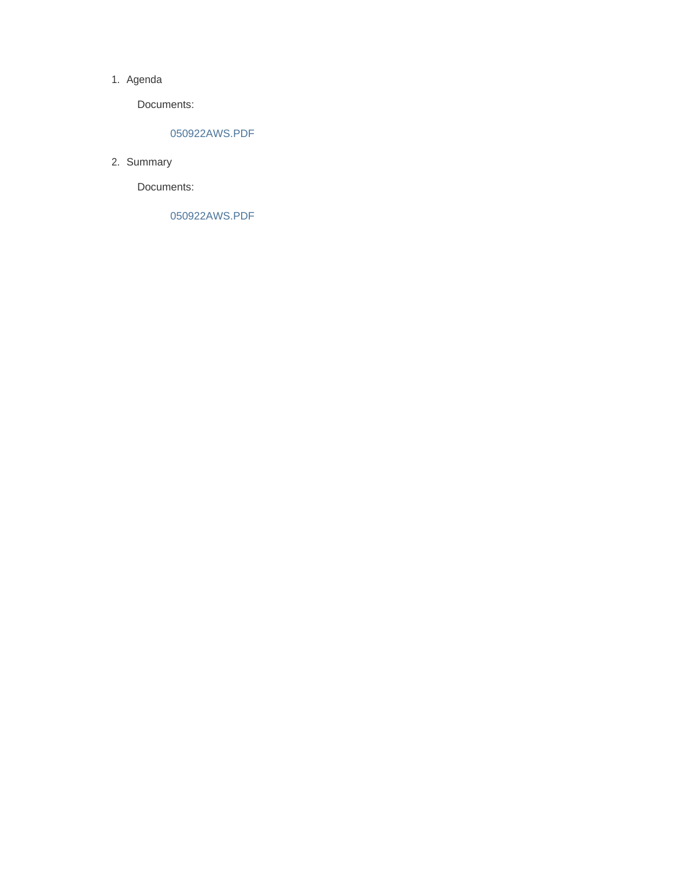#### 1. Agenda

Documents:

### 050922AWS.PDF

2. Summary

Documents:

050922AWS.PDF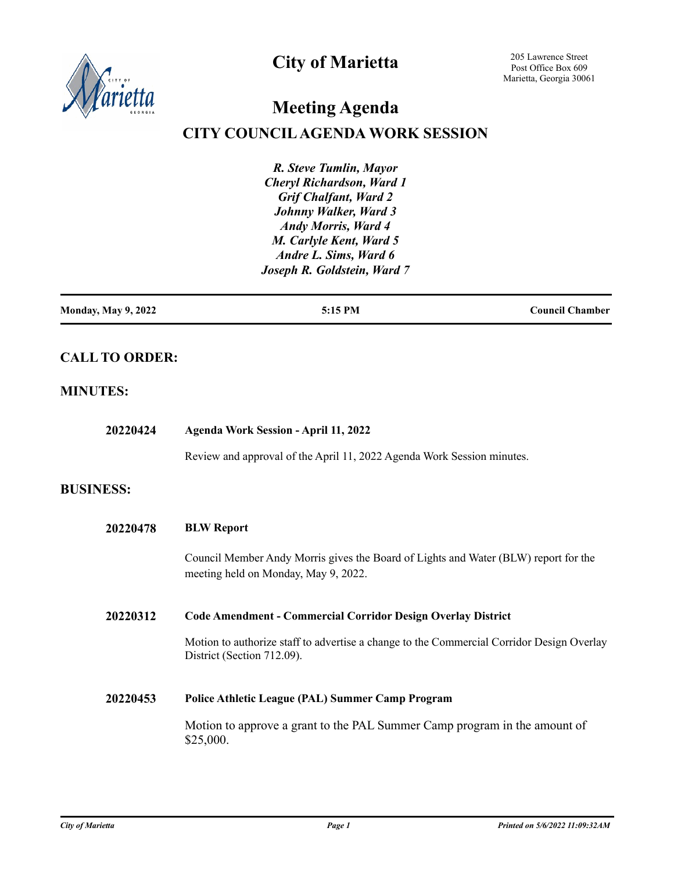

## **City of Marietta**

205 Lawrence Street Post Office Box 609 Marietta, Georgia 30061

# **Meeting Agenda**

## **CITY COUNCIL AGENDA WORK SESSION**

*R. Steve Tumlin, Mayor Cheryl Richardson, Ward 1 Grif Chalfant, Ward 2 Johnny Walker, Ward 3 Andy Morris, Ward 4 M. Carlyle Kent, Ward 5 Andre L. Sims, Ward 6 Joseph R. Goldstein, Ward 7*

### **CALL TO ORDER:**

#### **MINUTES:**

| 20220424         | <b>Agenda Work Session - April 11, 2022</b>                                                                                 |
|------------------|-----------------------------------------------------------------------------------------------------------------------------|
|                  | Review and approval of the April 11, 2022 Agenda Work Session minutes.                                                      |
| <b>BUSINESS:</b> |                                                                                                                             |
| 20220478         | <b>BLW Report</b>                                                                                                           |
|                  | Council Member Andy Morris gives the Board of Lights and Water (BLW) report for the<br>meeting held on Monday, May 9, 2022. |
| 20220312         | <b>Code Amendment - Commercial Corridor Design Overlay District</b>                                                         |
|                  | Motion to authorize staff to advertise a change to the Commercial Corridor Design Overlay<br>District (Section 712.09).     |
| 20220453         | <b>Police Athletic League (PAL) Summer Camp Program</b>                                                                     |
|                  | Motion to approve a grant to the PAL Summer Camp program in the amount of<br>\$25,000.                                      |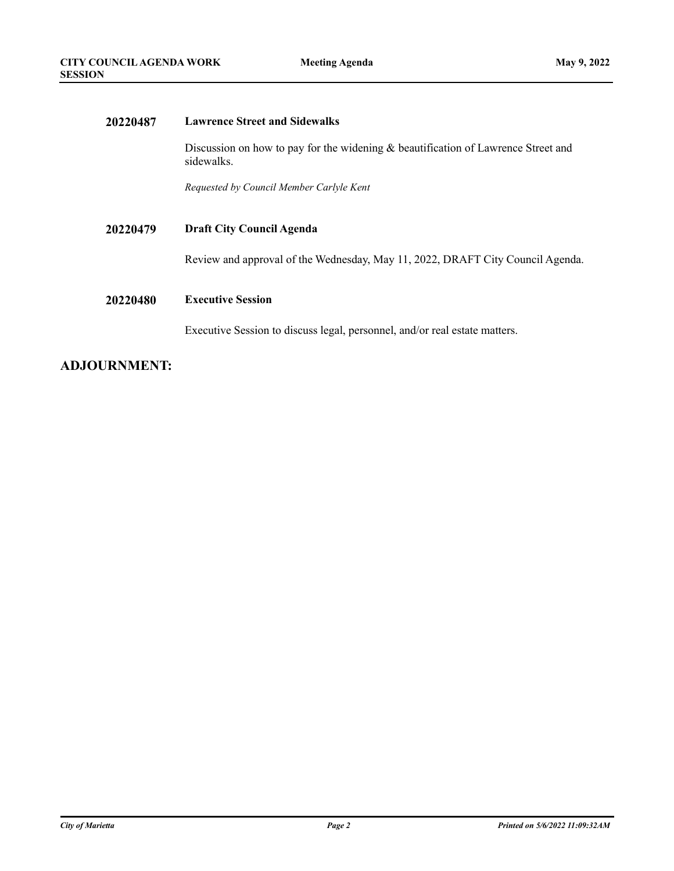| 20220487 | <b>Lawrence Street and Sidewalks</b>                                                              |
|----------|---------------------------------------------------------------------------------------------------|
|          | Discussion on how to pay for the widening $&$ beautification of Lawrence Street and<br>sidewalks. |
|          | Requested by Council Member Carlyle Kent                                                          |
| 20220479 | <b>Draft City Council Agenda</b>                                                                  |
|          | Review and approval of the Wednesday, May 11, 2022, DRAFT City Council Agenda.                    |
| 20220480 | <b>Executive Session</b>                                                                          |
|          | Executive Session to discuss legal, personnel, and/or real estate matters.                        |
|          |                                                                                                   |

### **ADJOURNMENT:**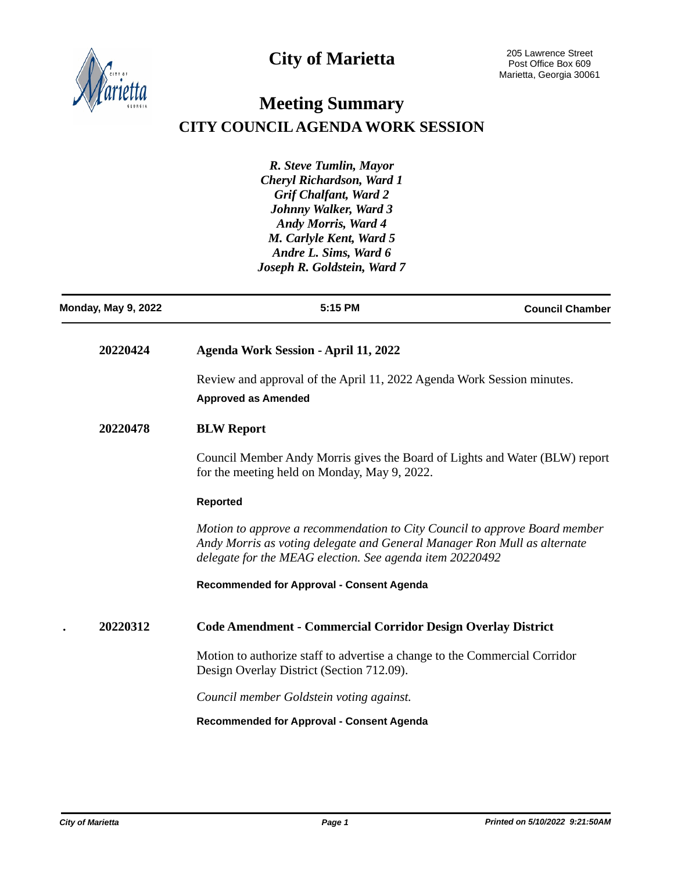



## **Meeting Summary CITY COUNCIL AGENDA WORK SESSION**

*R. Steve Tumlin, Mayor Cheryl Richardson, Ward 1 Grif Chalfant, Ward 2 Johnny Walker, Ward 3 Andy Morris, Ward 4 M. Carlyle Kent, Ward 5 Andre L. Sims, Ward 6 Joseph R. Goldstein, Ward 7*

| <b>Monday, May 9, 2022</b> | 5:15 PM                                                                                                                                                                                                            | <b>Council Chamber</b> |
|----------------------------|--------------------------------------------------------------------------------------------------------------------------------------------------------------------------------------------------------------------|------------------------|
| 20220424                   | <b>Agenda Work Session - April 11, 2022</b>                                                                                                                                                                        |                        |
|                            | Review and approval of the April 11, 2022 Agenda Work Session minutes.<br><b>Approved as Amended</b>                                                                                                               |                        |
| 20220478                   | <b>BLW Report</b>                                                                                                                                                                                                  |                        |
|                            | Council Member Andy Morris gives the Board of Lights and Water (BLW) report<br>for the meeting held on Monday, May 9, 2022.                                                                                        |                        |
|                            | <b>Reported</b>                                                                                                                                                                                                    |                        |
|                            | Motion to approve a recommendation to City Council to approve Board member<br>Andy Morris as voting delegate and General Manager Ron Mull as alternate<br>delegate for the MEAG election. See agenda item 20220492 |                        |
|                            | <b>Recommended for Approval - Consent Agenda</b>                                                                                                                                                                   |                        |
| 20220312                   | Code Amendment - Commercial Corridor Design Overlay District                                                                                                                                                       |                        |
|                            | Motion to authorize staff to advertise a change to the Commercial Corridor<br>Design Overlay District (Section 712.09).                                                                                            |                        |
|                            | Council member Goldstein voting against.                                                                                                                                                                           |                        |
|                            | <b>Recommended for Approval - Consent Agenda</b>                                                                                                                                                                   |                        |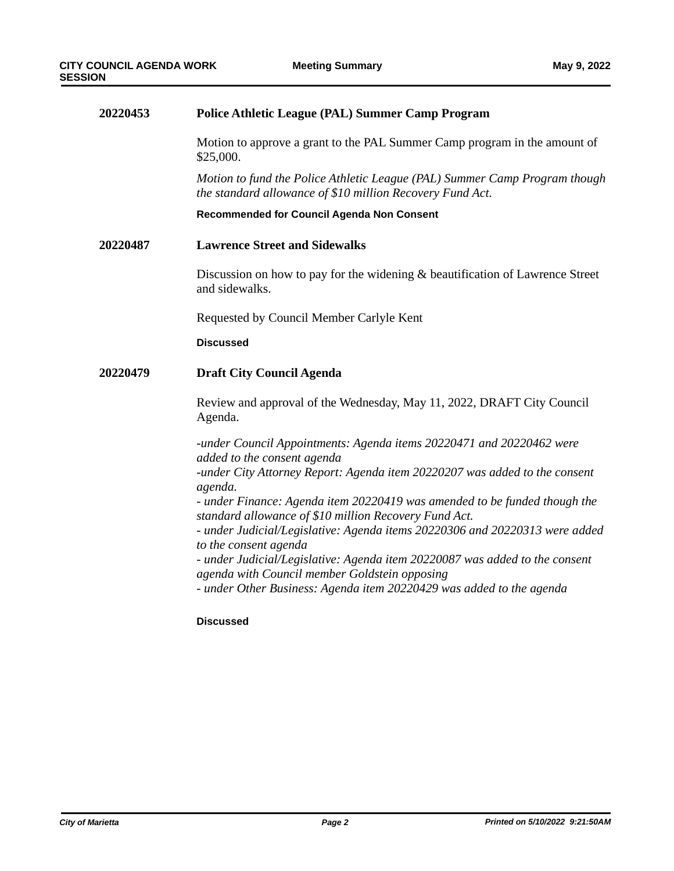| 20220453 | <b>Police Athletic League (PAL) Summer Camp Program</b>                                                                                       |
|----------|-----------------------------------------------------------------------------------------------------------------------------------------------|
|          | Motion to approve a grant to the PAL Summer Camp program in the amount of<br>\$25,000.                                                        |
|          | Motion to fund the Police Athletic League (PAL) Summer Camp Program though<br>the standard allowance of \$10 million Recovery Fund Act.       |
|          | Recommended for Council Agenda Non Consent                                                                                                    |
| 20220487 | <b>Lawrence Street and Sidewalks</b>                                                                                                          |
|          | Discussion on how to pay for the widening $\&$ beautification of Lawrence Street<br>and sidewalks.                                            |
|          | Requested by Council Member Carlyle Kent                                                                                                      |
|          | <b>Discussed</b>                                                                                                                              |
| 20220479 | <b>Draft City Council Agenda</b>                                                                                                              |
|          | Review and approval of the Wednesday, May 11, 2022, DRAFT City Council<br>Agenda.                                                             |
|          | -under Council Appointments: Agenda items 20220471 and 20220462 were<br>added to the consent agenda                                           |
|          | -under City Attorney Report: Agenda item 20220207 was added to the consent                                                                    |
|          | agenda.<br>- under Finance: Agenda item 20220419 was amended to be funded though the<br>standard allowance of \$10 million Recovery Fund Act. |
|          | - under Judicial/Legislative: Agenda items 20220306 and 20220313 were added<br>to the consent agenda                                          |
|          | - under Judicial/Legislative: Agenda item 20220087 was added to the consent<br>agenda with Council member Goldstein opposing                  |
|          | - under Other Business: Agenda item 20220429 was added to the agenda                                                                          |
|          | <b>Discussed</b>                                                                                                                              |
|          |                                                                                                                                               |